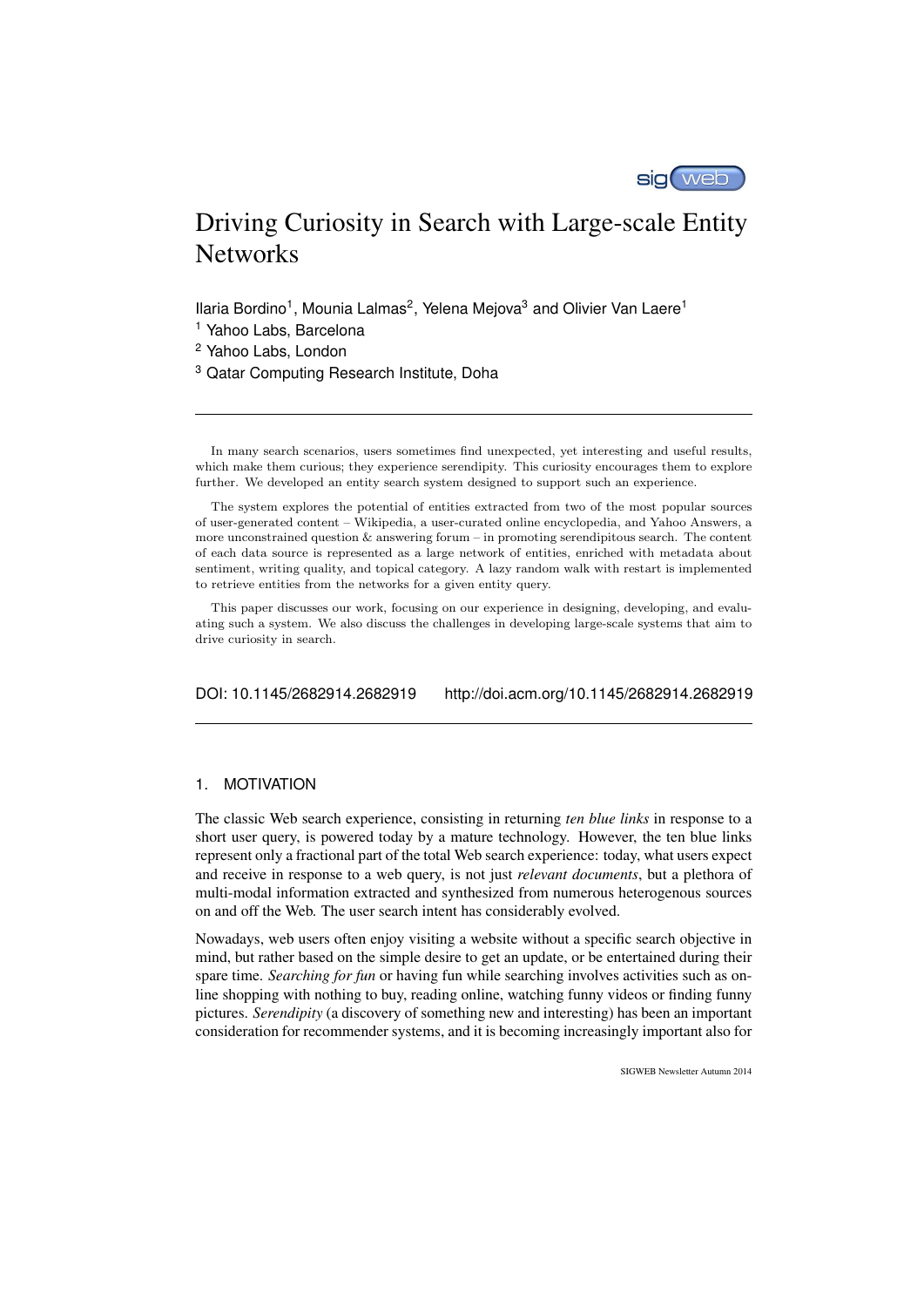

# Driving Curiosity in Search with Large-scale Entity **Networks**

Ilaria Bordino<sup>1</sup>, Mounia Lalmas<sup>2</sup>, Yelena Mejova<sup>3</sup> and Olivier Van Laere<sup>1</sup>

<sup>1</sup> Yahoo Labs, Barcelona

<sup>2</sup> Yahoo Labs, London

<sup>3</sup> Qatar Computing Research Institute, Doha

In many search scenarios, users sometimes find unexpected, yet interesting and useful results, which make them curious; they experience serendipity. This curiosity encourages them to explore further. We developed an entity search system designed to support such an experience.

The system explores the potential of entities extracted from two of the most popular sources of user-generated content – Wikipedia, a user-curated online encyclopedia, and Yahoo Answers, a more unconstrained question  $\&$  answering forum – in promoting serendipitous search. The content of each data source is represented as a large network of entities, enriched with metadata about sentiment, writing quality, and topical category. A lazy random walk with restart is implemented to retrieve entities from the networks for a given entity query.

This paper discusses our work, focusing on our experience in designing, developing, and evaluating such a system. We also discuss the challenges in developing large-scale systems that aim to drive curiosity in search.

DOI: 10.1145/2682914.2682919 http://doi.acm.org/10.1145/2682914.2682919

#### 1. MOTIVATION

The classic Web search experience, consisting in returning *ten blue links* in response to a short user query, is powered today by a mature technology. However, the ten blue links represent only a fractional part of the total Web search experience: today, what users expect and receive in response to a web query, is not just *relevant documents*, but a plethora of multi-modal information extracted and synthesized from numerous heterogenous sources on and off the Web. The user search intent has considerably evolved.

Nowadays, web users often enjoy visiting a website without a specific search objective in mind, but rather based on the simple desire to get an update, or be entertained during their spare time. *Searching for fun* or having fun while searching involves activities such as online shopping with nothing to buy, reading online, watching funny videos or finding funny pictures. *Serendipity* (a discovery of something new and interesting) has been an important consideration for recommender systems, and it is becoming increasingly important also for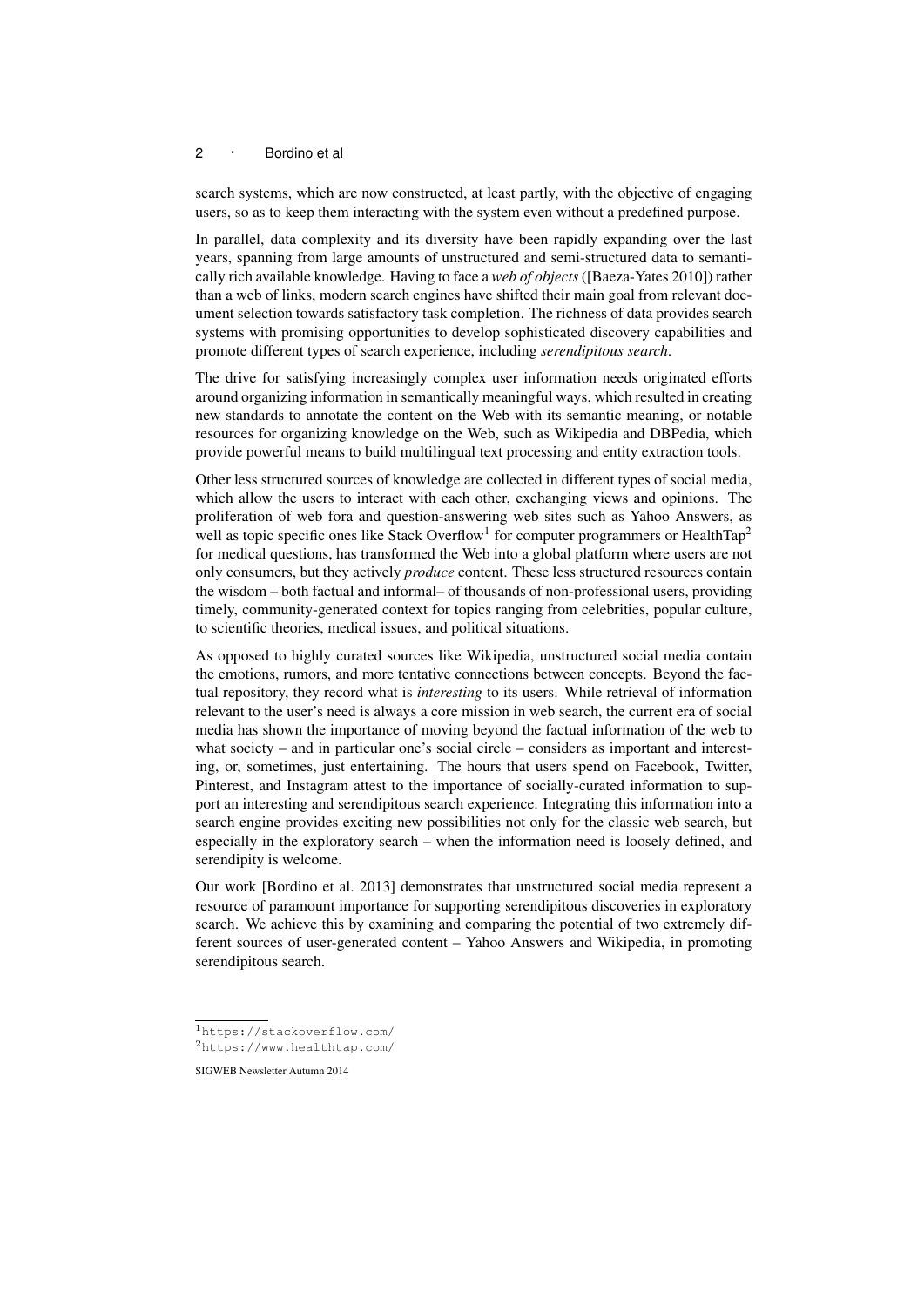search systems, which are now constructed, at least partly, with the objective of engaging users, so as to keep them interacting with the system even without a predefined purpose.

In parallel, data complexity and its diversity have been rapidly expanding over the last years, spanning from large amounts of unstructured and semi-structured data to semantically rich available knowledge. Having to face a *web of objects* ([Baeza-Yates 2010]) rather than a web of links, modern search engines have shifted their main goal from relevant document selection towards satisfactory task completion. The richness of data provides search systems with promising opportunities to develop sophisticated discovery capabilities and promote different types of search experience, including *serendipitous search*.

The drive for satisfying increasingly complex user information needs originated efforts around organizing information in semantically meaningful ways, which resulted in creating new standards to annotate the content on the Web with its semantic meaning, or notable resources for organizing knowledge on the Web, such as Wikipedia and DBPedia, which provide powerful means to build multilingual text processing and entity extraction tools.

Other less structured sources of knowledge are collected in different types of social media, which allow the users to interact with each other, exchanging views and opinions. The proliferation of web fora and question-answering web sites such as Yahoo Answers, as well as topic specific ones like Stack Overflow<sup>1</sup> for computer programmers or HealthTap<sup>2</sup> for medical questions, has transformed the Web into a global platform where users are not only consumers, but they actively *produce* content. These less structured resources contain the wisdom – both factual and informal– of thousands of non-professional users, providing timely, community-generated context for topics ranging from celebrities, popular culture, to scientific theories, medical issues, and political situations.

As opposed to highly curated sources like Wikipedia, unstructured social media contain the emotions, rumors, and more tentative connections between concepts. Beyond the factual repository, they record what is *interesting* to its users. While retrieval of information relevant to the user's need is always a core mission in web search, the current era of social media has shown the importance of moving beyond the factual information of the web to what society – and in particular one's social circle – considers as important and interesting, or, sometimes, just entertaining. The hours that users spend on Facebook, Twitter, Pinterest, and Instagram attest to the importance of socially-curated information to support an interesting and serendipitous search experience. Integrating this information into a search engine provides exciting new possibilities not only for the classic web search, but especially in the exploratory search – when the information need is loosely defined, and serendipity is welcome.

Our work [Bordino et al. 2013] demonstrates that unstructured social media represent a resource of paramount importance for supporting serendipitous discoveries in exploratory search. We achieve this by examining and comparing the potential of two extremely different sources of user-generated content – Yahoo Answers and Wikipedia, in promoting serendipitous search.

<sup>1</sup>https://stackoverflow.com/ <sup>2</sup>https://www.healthtap.com/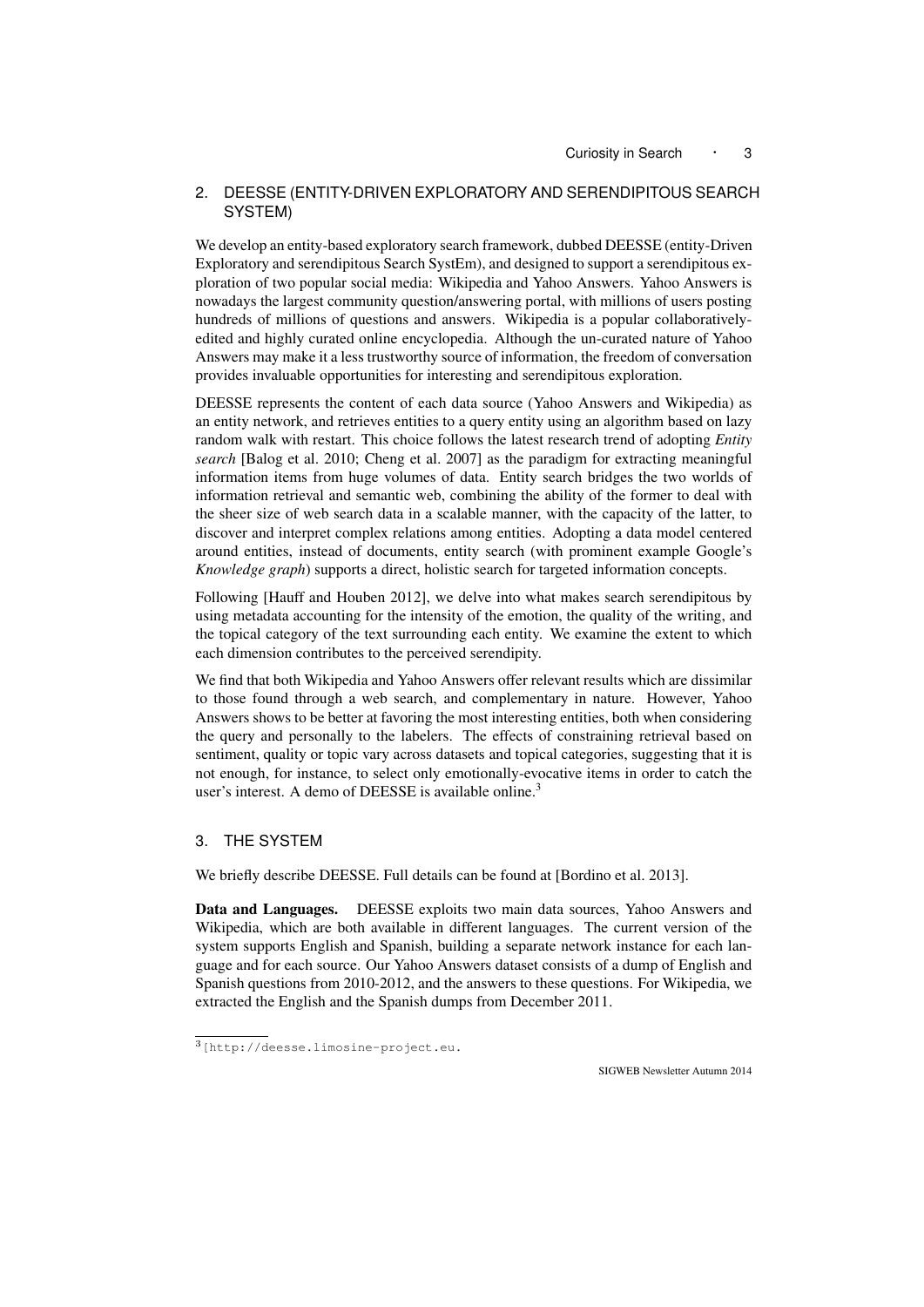## 2. DEESSE (ENTITY-DRIVEN EXPLORATORY AND SERENDIPITOUS SEARCH SYSTEM)

We develop an entity-based exploratory search framework, dubbed DEESSE (entity-Driven Exploratory and serendipitous Search SystEm), and designed to support a serendipitous exploration of two popular social media: Wikipedia and Yahoo Answers. Yahoo Answers is nowadays the largest community question/answering portal, with millions of users posting hundreds of millions of questions and answers. Wikipedia is a popular collaborativelyedited and highly curated online encyclopedia. Although the un-curated nature of Yahoo Answers may make it a less trustworthy source of information, the freedom of conversation provides invaluable opportunities for interesting and serendipitous exploration.

DEESSE represents the content of each data source (Yahoo Answers and Wikipedia) as an entity network, and retrieves entities to a query entity using an algorithm based on lazy random walk with restart. This choice follows the latest research trend of adopting *Entity search* [Balog et al. 2010; Cheng et al. 2007] as the paradigm for extracting meaningful information items from huge volumes of data. Entity search bridges the two worlds of information retrieval and semantic web, combining the ability of the former to deal with the sheer size of web search data in a scalable manner, with the capacity of the latter, to discover and interpret complex relations among entities. Adopting a data model centered around entities, instead of documents, entity search (with prominent example Google's *Knowledge graph*) supports a direct, holistic search for targeted information concepts.

Following [Hauff and Houben 2012], we delve into what makes search serendipitous by using metadata accounting for the intensity of the emotion, the quality of the writing, and the topical category of the text surrounding each entity. We examine the extent to which each dimension contributes to the perceived serendipity.

We find that both Wikipedia and Yahoo Answers offer relevant results which are dissimilar to those found through a web search, and complementary in nature. However, Yahoo Answers shows to be better at favoring the most interesting entities, both when considering the query and personally to the labelers. The effects of constraining retrieval based on sentiment, quality or topic vary across datasets and topical categories, suggesting that it is not enough, for instance, to select only emotionally-evocative items in order to catch the user's interest. A demo of DEESSE is available online.<sup>3</sup>

# 3. THE SYSTEM

We briefly describe DEESSE. Full details can be found at [Bordino et al. 2013].

Data and Languages. DEESSE exploits two main data sources, Yahoo Answers and Wikipedia, which are both available in different languages. The current version of the system supports English and Spanish, building a separate network instance for each language and for each source. Our Yahoo Answers dataset consists of a dump of English and Spanish questions from 2010-2012, and the answers to these questions. For Wikipedia, we extracted the English and the Spanish dumps from December 2011.

<sup>3</sup>[http://deesse.limosine-project.eu.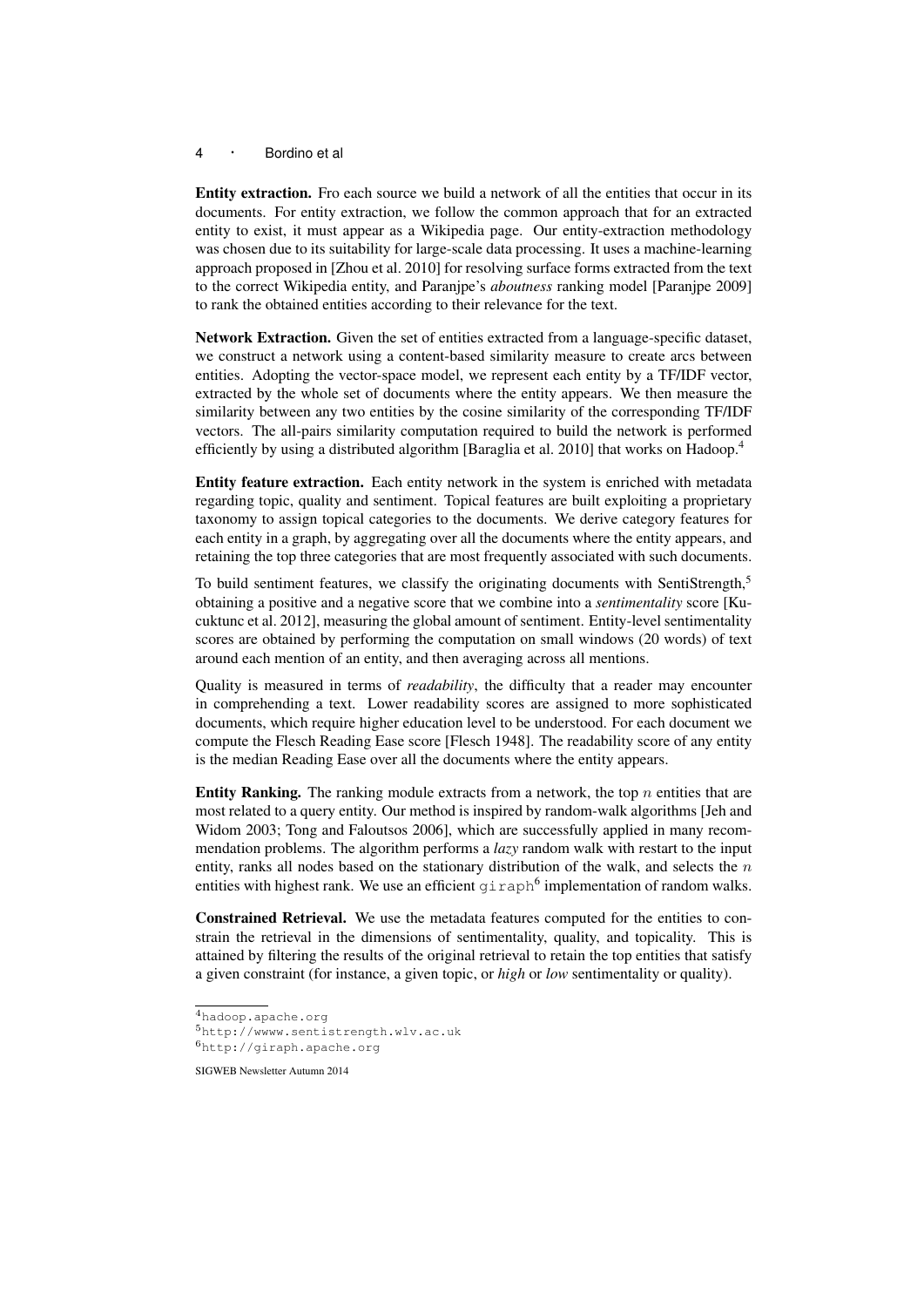Entity extraction. Fro each source we build a network of all the entities that occur in its documents. For entity extraction, we follow the common approach that for an extracted entity to exist, it must appear as a Wikipedia page. Our entity-extraction methodology was chosen due to its suitability for large-scale data processing. It uses a machine-learning approach proposed in [Zhou et al. 2010] for resolving surface forms extracted from the text to the correct Wikipedia entity, and Paranjpe's *aboutness* ranking model [Paranjpe 2009] to rank the obtained entities according to their relevance for the text.

Network Extraction. Given the set of entities extracted from a language-specific dataset, we construct a network using a content-based similarity measure to create arcs between entities. Adopting the vector-space model, we represent each entity by a TF/IDF vector, extracted by the whole set of documents where the entity appears. We then measure the similarity between any two entities by the cosine similarity of the corresponding TF/IDF vectors. The all-pairs similarity computation required to build the network is performed efficiently by using a distributed algorithm [Baraglia et al. 2010] that works on Hadoop.<sup>4</sup>

Entity feature extraction. Each entity network in the system is enriched with metadata regarding topic, quality and sentiment. Topical features are built exploiting a proprietary taxonomy to assign topical categories to the documents. We derive category features for each entity in a graph, by aggregating over all the documents where the entity appears, and retaining the top three categories that are most frequently associated with such documents.

To build sentiment features, we classify the originating documents with SentiStrength,<sup>5</sup> obtaining a positive and a negative score that we combine into a *sentimentality* score [Kucuktunc et al. 2012], measuring the global amount of sentiment. Entity-level sentimentality scores are obtained by performing the computation on small windows (20 words) of text around each mention of an entity, and then averaging across all mentions.

Quality is measured in terms of *readability*, the difficulty that a reader may encounter in comprehending a text. Lower readability scores are assigned to more sophisticated documents, which require higher education level to be understood. For each document we compute the Flesch Reading Ease score [Flesch 1948]. The readability score of any entity is the median Reading Ease over all the documents where the entity appears.

**Entity Ranking.** The ranking module extracts from a network, the top  $n$  entities that are most related to a query entity. Our method is inspired by random-walk algorithms [Jeh and Widom 2003; Tong and Faloutsos 2006], which are successfully applied in many recommendation problems. The algorithm performs a *lazy* random walk with restart to the input entity, ranks all nodes based on the stationary distribution of the walk, and selects the  $n$ entities with highest rank. We use an efficient  $\text{giraph}^6$  implementation of random walks.

Constrained Retrieval. We use the metadata features computed for the entities to constrain the retrieval in the dimensions of sentimentality, quality, and topicality. This is attained by filtering the results of the original retrieval to retain the top entities that satisfy a given constraint (for instance, a given topic, or *high* or *low* sentimentality or quality).

<sup>4</sup>hadoop.apache.org

<sup>5</sup>http://wwww.sentistrength.wlv.ac.uk <sup>6</sup>http://giraph.apache.org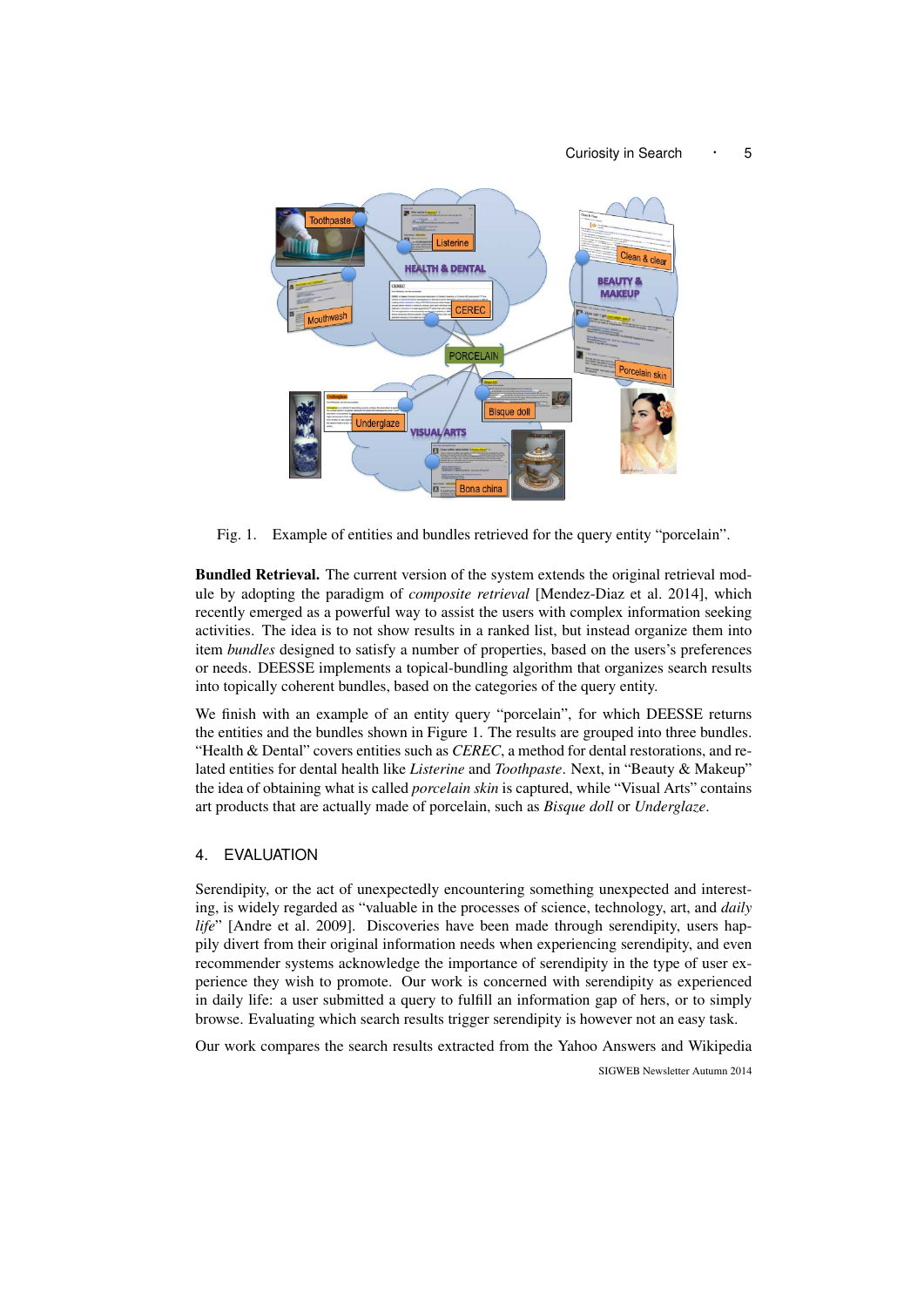

Fig. 1. Example of entities and bundles retrieved for the query entity "porcelain".

Bundled Retrieval. The current version of the system extends the original retrieval module by adopting the paradigm of *composite retrieval* [Mendez-Diaz et al. 2014], which recently emerged as a powerful way to assist the users with complex information seeking activities. The idea is to not show results in a ranked list, but instead organize them into item *bundles* designed to satisfy a number of properties, based on the users's preferences or needs. DEESSE implements a topical-bundling algorithm that organizes search results into topically coherent bundles, based on the categories of the query entity.

We finish with an example of an entity query "porcelain", for which DEESSE returns the entities and the bundles shown in Figure 1. The results are grouped into three bundles. "Health & Dental" covers entities such as *CEREC*, a method for dental restorations, and related entities for dental health like *Listerine* and *Toothpaste*. Next, in "Beauty & Makeup" the idea of obtaining what is called *porcelain skin* is captured, while "Visual Arts" contains art products that are actually made of porcelain, such as *Bisque doll* or *Underglaze*.

## 4. EVALUATION

Serendipity, or the act of unexpectedly encountering something unexpected and interesting, is widely regarded as "valuable in the processes of science, technology, art, and *daily life*" [Andre et al. 2009]. Discoveries have been made through serendipity, users happily divert from their original information needs when experiencing serendipity, and even recommender systems acknowledge the importance of serendipity in the type of user experience they wish to promote. Our work is concerned with serendipity as experienced in daily life: a user submitted a query to fulfill an information gap of hers, or to simply browse. Evaluating which search results trigger serendipity is however not an easy task.

Our work compares the search results extracted from the Yahoo Answers and Wikipedia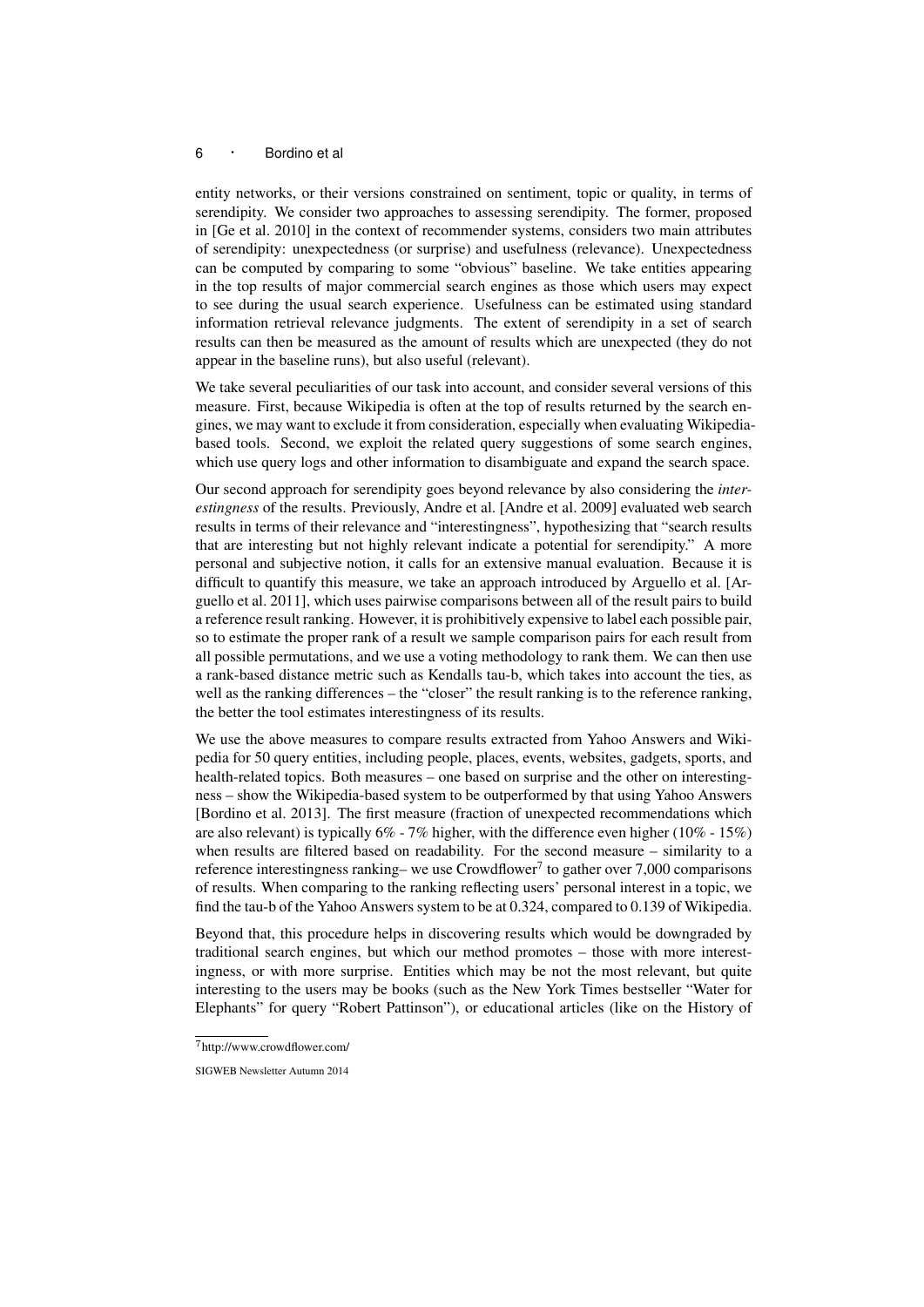entity networks, or their versions constrained on sentiment, topic or quality, in terms of serendipity. We consider two approaches to assessing serendipity. The former, proposed in [Ge et al. 2010] in the context of recommender systems, considers two main attributes of serendipity: unexpectedness (or surprise) and usefulness (relevance). Unexpectedness can be computed by comparing to some "obvious" baseline. We take entities appearing in the top results of major commercial search engines as those which users may expect to see during the usual search experience. Usefulness can be estimated using standard information retrieval relevance judgments. The extent of serendipity in a set of search results can then be measured as the amount of results which are unexpected (they do not appear in the baseline runs), but also useful (relevant).

We take several peculiarities of our task into account, and consider several versions of this measure. First, because Wikipedia is often at the top of results returned by the search engines, we may want to exclude it from consideration, especially when evaluating Wikipediabased tools. Second, we exploit the related query suggestions of some search engines, which use query logs and other information to disambiguate and expand the search space.

Our second approach for serendipity goes beyond relevance by also considering the *interestingness* of the results. Previously, Andre et al. [Andre et al. 2009] evaluated web search results in terms of their relevance and "interestingness", hypothesizing that "search results that are interesting but not highly relevant indicate a potential for serendipity." A more personal and subjective notion, it calls for an extensive manual evaluation. Because it is difficult to quantify this measure, we take an approach introduced by Arguello et al. [Arguello et al. 2011], which uses pairwise comparisons between all of the result pairs to build a reference result ranking. However, it is prohibitively expensive to label each possible pair, so to estimate the proper rank of a result we sample comparison pairs for each result from all possible permutations, and we use a voting methodology to rank them. We can then use a rank-based distance metric such as Kendalls tau-b, which takes into account the ties, as well as the ranking differences – the "closer" the result ranking is to the reference ranking, the better the tool estimates interestingness of its results.

We use the above measures to compare results extracted from Yahoo Answers and Wikipedia for 50 query entities, including people, places, events, websites, gadgets, sports, and health-related topics. Both measures – one based on surprise and the other on interestingness – show the Wikipedia-based system to be outperformed by that using Yahoo Answers [Bordino et al. 2013]. The first measure (fraction of unexpected recommendations which are also relevant) is typically 6% - 7% higher, with the difference even higher (10% - 15%) when results are filtered based on readability. For the second measure – similarity to a reference interestingness ranking– we use Crowdflower<sup>7</sup> to gather over 7,000 comparisons of results. When comparing to the ranking reflecting users' personal interest in a topic, we find the tau-b of the Yahoo Answers system to be at 0.324, compared to 0.139 of Wikipedia.

Beyond that, this procedure helps in discovering results which would be downgraded by traditional search engines, but which our method promotes – those with more interestingness, or with more surprise. Entities which may be not the most relevant, but quite interesting to the users may be books (such as the New York Times bestseller "Water for Elephants" for query "Robert Pattinson"), or educational articles (like on the History of

<sup>7</sup>http://www.crowdflower.com/

SIGWEB Newsletter Autumn 2014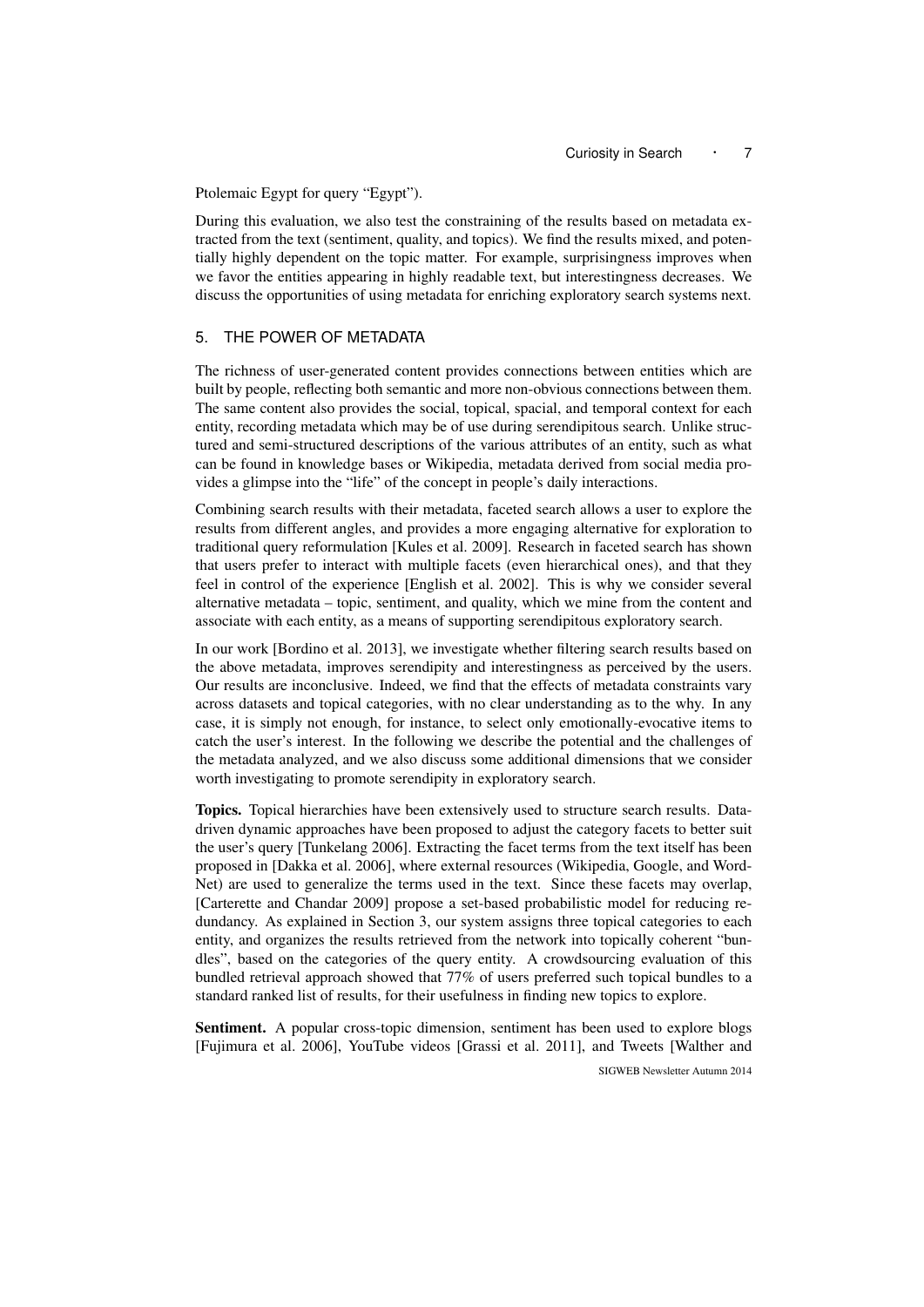Ptolemaic Egypt for query "Egypt").

During this evaluation, we also test the constraining of the results based on metadata extracted from the text (sentiment, quality, and topics). We find the results mixed, and potentially highly dependent on the topic matter. For example, surprisingness improves when we favor the entities appearing in highly readable text, but interestingness decreases. We discuss the opportunities of using metadata for enriching exploratory search systems next.

## 5. THE POWER OF METADATA

The richness of user-generated content provides connections between entities which are built by people, reflecting both semantic and more non-obvious connections between them. The same content also provides the social, topical, spacial, and temporal context for each entity, recording metadata which may be of use during serendipitous search. Unlike structured and semi-structured descriptions of the various attributes of an entity, such as what can be found in knowledge bases or Wikipedia, metadata derived from social media provides a glimpse into the "life" of the concept in people's daily interactions.

Combining search results with their metadata, faceted search allows a user to explore the results from different angles, and provides a more engaging alternative for exploration to traditional query reformulation [Kules et al. 2009]. Research in faceted search has shown that users prefer to interact with multiple facets (even hierarchical ones), and that they feel in control of the experience [English et al. 2002]. This is why we consider several alternative metadata – topic, sentiment, and quality, which we mine from the content and associate with each entity, as a means of supporting serendipitous exploratory search.

In our work [Bordino et al. 2013], we investigate whether filtering search results based on the above metadata, improves serendipity and interestingness as perceived by the users. Our results are inconclusive. Indeed, we find that the effects of metadata constraints vary across datasets and topical categories, with no clear understanding as to the why. In any case, it is simply not enough, for instance, to select only emotionally-evocative items to catch the user's interest. In the following we describe the potential and the challenges of the metadata analyzed, and we also discuss some additional dimensions that we consider worth investigating to promote serendipity in exploratory search.

Topics. Topical hierarchies have been extensively used to structure search results. Datadriven dynamic approaches have been proposed to adjust the category facets to better suit the user's query [Tunkelang 2006]. Extracting the facet terms from the text itself has been proposed in [Dakka et al. 2006], where external resources (Wikipedia, Google, and Word-Net) are used to generalize the terms used in the text. Since these facets may overlap, [Carterette and Chandar 2009] propose a set-based probabilistic model for reducing redundancy. As explained in Section 3, our system assigns three topical categories to each entity, and organizes the results retrieved from the network into topically coherent "bundles", based on the categories of the query entity. A crowdsourcing evaluation of this bundled retrieval approach showed that 77% of users preferred such topical bundles to a standard ranked list of results, for their usefulness in finding new topics to explore.

Sentiment. A popular cross-topic dimension, sentiment has been used to explore blogs [Fujimura et al. 2006], YouTube videos [Grassi et al. 2011], and Tweets [Walther and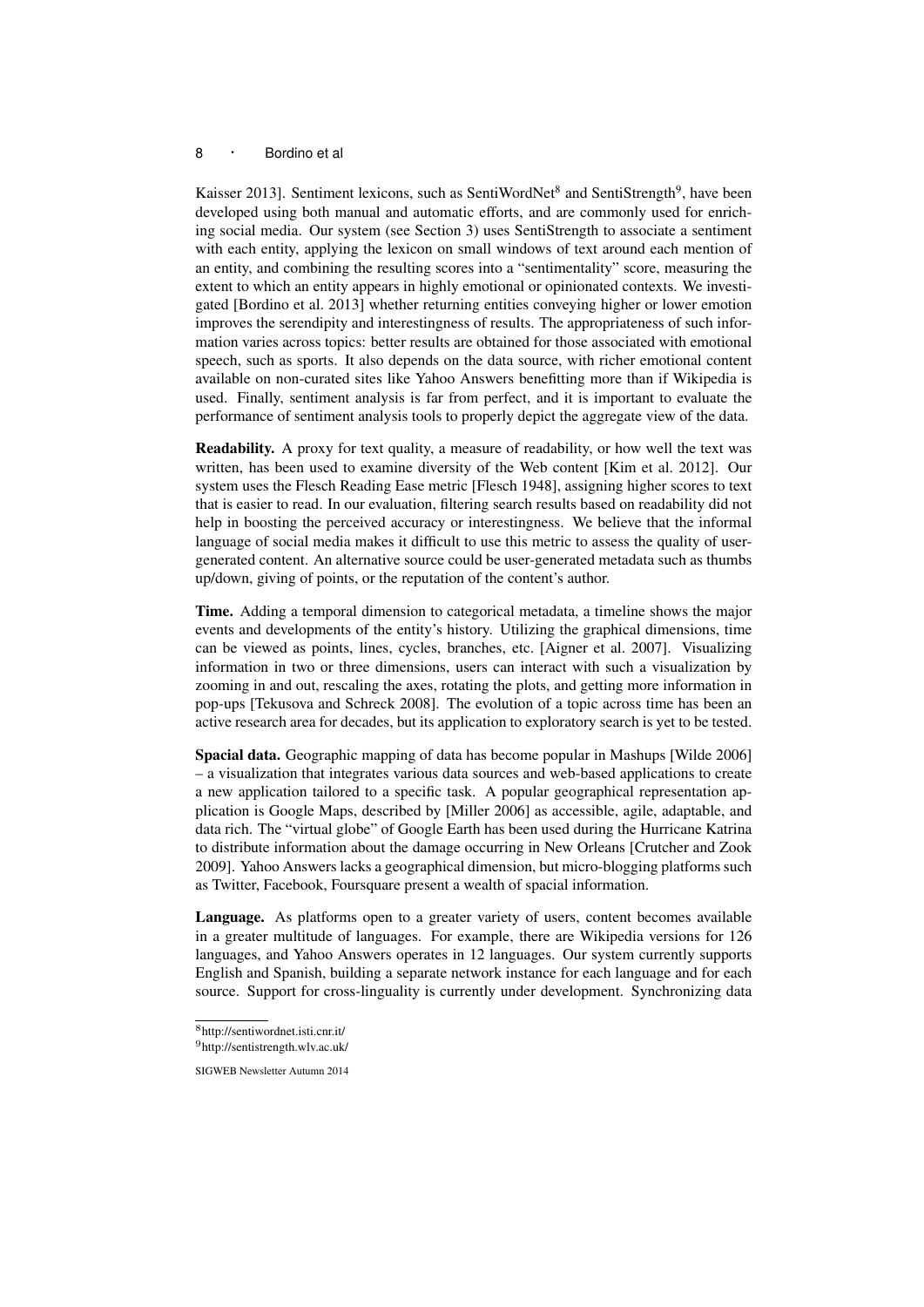Kaisser 2013]. Sentiment lexicons, such as SentiWordNet<sup>8</sup> and SentiStrength<sup>9</sup>, have been developed using both manual and automatic efforts, and are commonly used for enriching social media. Our system (see Section 3) uses SentiStrength to associate a sentiment with each entity, applying the lexicon on small windows of text around each mention of an entity, and combining the resulting scores into a "sentimentality" score, measuring the extent to which an entity appears in highly emotional or opinionated contexts. We investigated [Bordino et al. 2013] whether returning entities conveying higher or lower emotion improves the serendipity and interestingness of results. The appropriateness of such information varies across topics: better results are obtained for those associated with emotional speech, such as sports. It also depends on the data source, with richer emotional content available on non-curated sites like Yahoo Answers benefitting more than if Wikipedia is used. Finally, sentiment analysis is far from perfect, and it is important to evaluate the performance of sentiment analysis tools to properly depict the aggregate view of the data.

Readability. A proxy for text quality, a measure of readability, or how well the text was written, has been used to examine diversity of the Web content [Kim et al. 2012]. Our system uses the Flesch Reading Ease metric [Flesch 1948], assigning higher scores to text that is easier to read. In our evaluation, filtering search results based on readability did not help in boosting the perceived accuracy or interestingness. We believe that the informal language of social media makes it difficult to use this metric to assess the quality of usergenerated content. An alternative source could be user-generated metadata such as thumbs up/down, giving of points, or the reputation of the content's author.

Time. Adding a temporal dimension to categorical metadata, a timeline shows the major events and developments of the entity's history. Utilizing the graphical dimensions, time can be viewed as points, lines, cycles, branches, etc. [Aigner et al. 2007]. Visualizing information in two or three dimensions, users can interact with such a visualization by zooming in and out, rescaling the axes, rotating the plots, and getting more information in pop-ups [Tekusova and Schreck 2008]. The evolution of a topic across time has been an active research area for decades, but its application to exploratory search is yet to be tested.

Spacial data. Geographic mapping of data has become popular in Mashups [Wilde 2006] – a visualization that integrates various data sources and web-based applications to create a new application tailored to a specific task. A popular geographical representation application is Google Maps, described by [Miller 2006] as accessible, agile, adaptable, and data rich. The "virtual globe" of Google Earth has been used during the Hurricane Katrina to distribute information about the damage occurring in New Orleans [Crutcher and Zook 2009]. Yahoo Answers lacks a geographical dimension, but micro-blogging platforms such as Twitter, Facebook, Foursquare present a wealth of spacial information.

Language. As platforms open to a greater variety of users, content becomes available in a greater multitude of languages. For example, there are Wikipedia versions for 126 languages, and Yahoo Answers operates in 12 languages. Our system currently supports English and Spanish, building a separate network instance for each language and for each source. Support for cross-linguality is currently under development. Synchronizing data

<sup>8</sup>http://sentiwordnet.isti.cnr.it/

<sup>9</sup>http://sentistrength.wlv.ac.uk/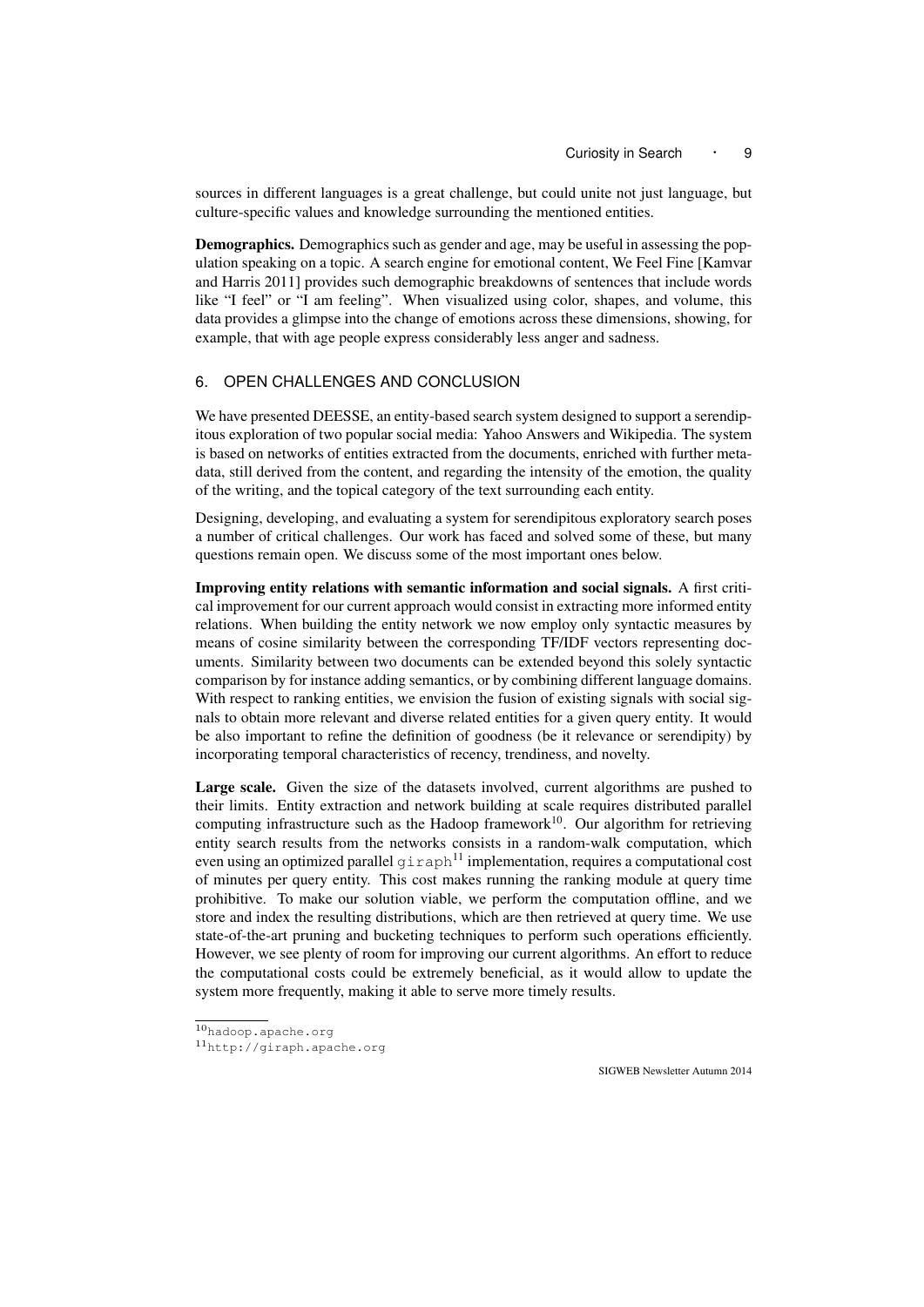sources in different languages is a great challenge, but could unite not just language, but culture-specific values and knowledge surrounding the mentioned entities.

Demographics. Demographics such as gender and age, may be useful in assessing the population speaking on a topic. A search engine for emotional content, We Feel Fine [Kamvar and Harris 2011] provides such demographic breakdowns of sentences that include words like "I feel" or "I am feeling". When visualized using color, shapes, and volume, this data provides a glimpse into the change of emotions across these dimensions, showing, for example, that with age people express considerably less anger and sadness.

# 6. OPEN CHALLENGES AND CONCLUSION

We have presented DEESSE, an entity-based search system designed to support a serendipitous exploration of two popular social media: Yahoo Answers and Wikipedia. The system is based on networks of entities extracted from the documents, enriched with further metadata, still derived from the content, and regarding the intensity of the emotion, the quality of the writing, and the topical category of the text surrounding each entity.

Designing, developing, and evaluating a system for serendipitous exploratory search poses a number of critical challenges. Our work has faced and solved some of these, but many questions remain open. We discuss some of the most important ones below.

Improving entity relations with semantic information and social signals. A first critical improvement for our current approach would consist in extracting more informed entity relations. When building the entity network we now employ only syntactic measures by means of cosine similarity between the corresponding TF/IDF vectors representing documents. Similarity between two documents can be extended beyond this solely syntactic comparison by for instance adding semantics, or by combining different language domains. With respect to ranking entities, we envision the fusion of existing signals with social signals to obtain more relevant and diverse related entities for a given query entity. It would be also important to refine the definition of goodness (be it relevance or serendipity) by incorporating temporal characteristics of recency, trendiness, and novelty.

Large scale. Given the size of the datasets involved, current algorithms are pushed to their limits. Entity extraction and network building at scale requires distributed parallel computing infrastructure such as the Hadoop framework<sup>10</sup>. Our algorithm for retrieving entity search results from the networks consists in a random-walk computation, which even using an optimized parallel  $q$  i  $r$  aph<sup>11</sup> implementation, requires a computational cost of minutes per query entity. This cost makes running the ranking module at query time prohibitive. To make our solution viable, we perform the computation offline, and we store and index the resulting distributions, which are then retrieved at query time. We use state-of-the-art pruning and bucketing techniques to perform such operations efficiently. However, we see plenty of room for improving our current algorithms. An effort to reduce the computational costs could be extremely beneficial, as it would allow to update the system more frequently, making it able to serve more timely results.

10<sub>hadoop.apache.org</sub>

<sup>11</sup>http://giraph.apache.org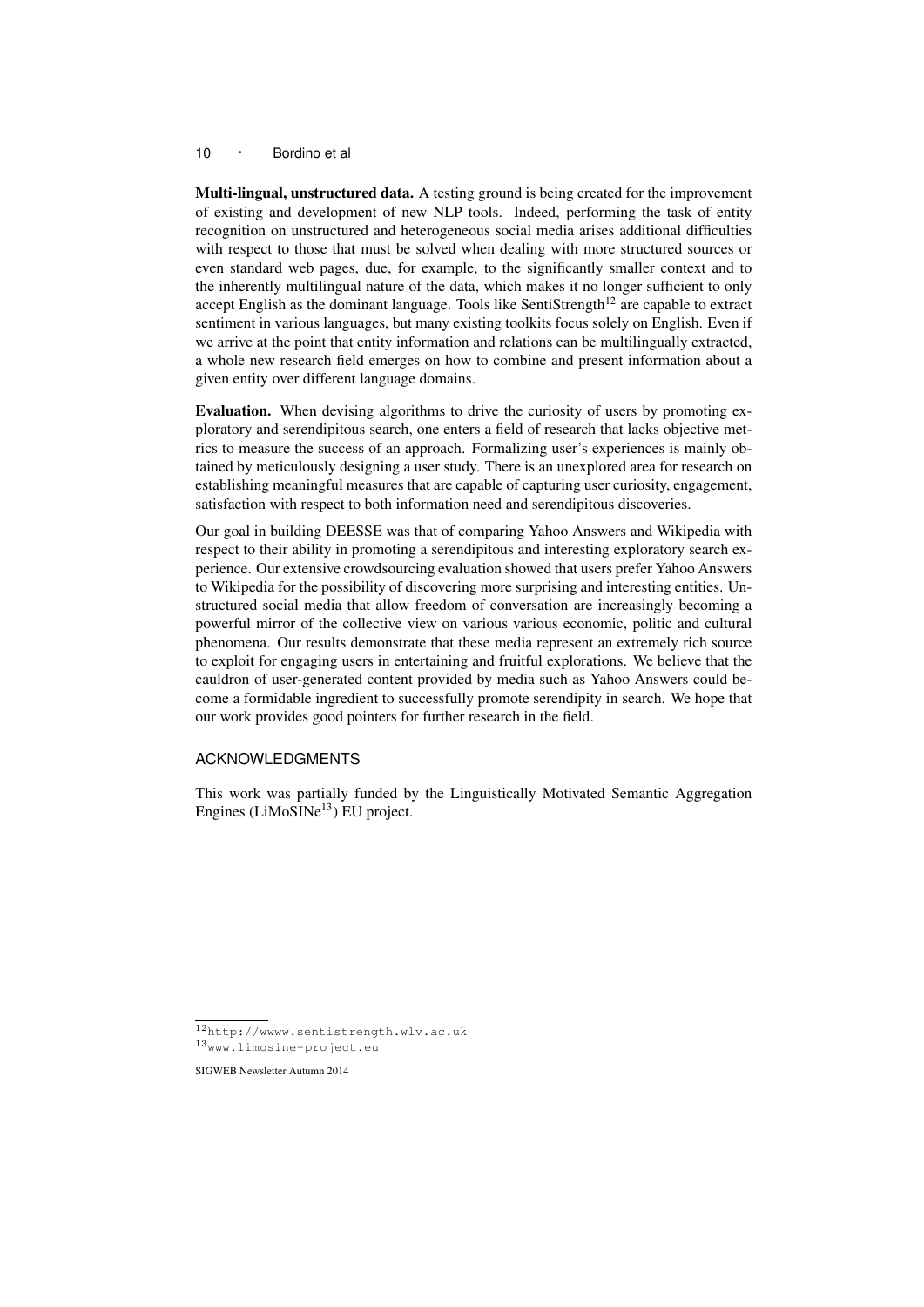Multi-lingual, unstructured data. A testing ground is being created for the improvement of existing and development of new NLP tools. Indeed, performing the task of entity recognition on unstructured and heterogeneous social media arises additional difficulties with respect to those that must be solved when dealing with more structured sources or even standard web pages, due, for example, to the significantly smaller context and to the inherently multilingual nature of the data, which makes it no longer sufficient to only accept English as the dominant language. Tools like SentiStrength<sup>12</sup> are capable to extract sentiment in various languages, but many existing toolkits focus solely on English. Even if we arrive at the point that entity information and relations can be multilingually extracted, a whole new research field emerges on how to combine and present information about a given entity over different language domains.

Evaluation. When devising algorithms to drive the curiosity of users by promoting exploratory and serendipitous search, one enters a field of research that lacks objective metrics to measure the success of an approach. Formalizing user's experiences is mainly obtained by meticulously designing a user study. There is an unexplored area for research on establishing meaningful measures that are capable of capturing user curiosity, engagement, satisfaction with respect to both information need and serendipitous discoveries.

Our goal in building DEESSE was that of comparing Yahoo Answers and Wikipedia with respect to their ability in promoting a serendipitous and interesting exploratory search experience. Our extensive crowdsourcing evaluation showed that users prefer Yahoo Answers to Wikipedia for the possibility of discovering more surprising and interesting entities. Unstructured social media that allow freedom of conversation are increasingly becoming a powerful mirror of the collective view on various various economic, politic and cultural phenomena. Our results demonstrate that these media represent an extremely rich source to exploit for engaging users in entertaining and fruitful explorations. We believe that the cauldron of user-generated content provided by media such as Yahoo Answers could become a formidable ingredient to successfully promote serendipity in search. We hope that our work provides good pointers for further research in the field.

## ACKNOWLEDGMENTS

This work was partially funded by the Linguistically Motivated Semantic Aggregation Engines ( $LiMoSINE<sup>13</sup>$ ) EU project.

<sup>12</sup>http://wwww.sentistrength.wlv.ac.uk <sup>13</sup>www.limosine-project.eu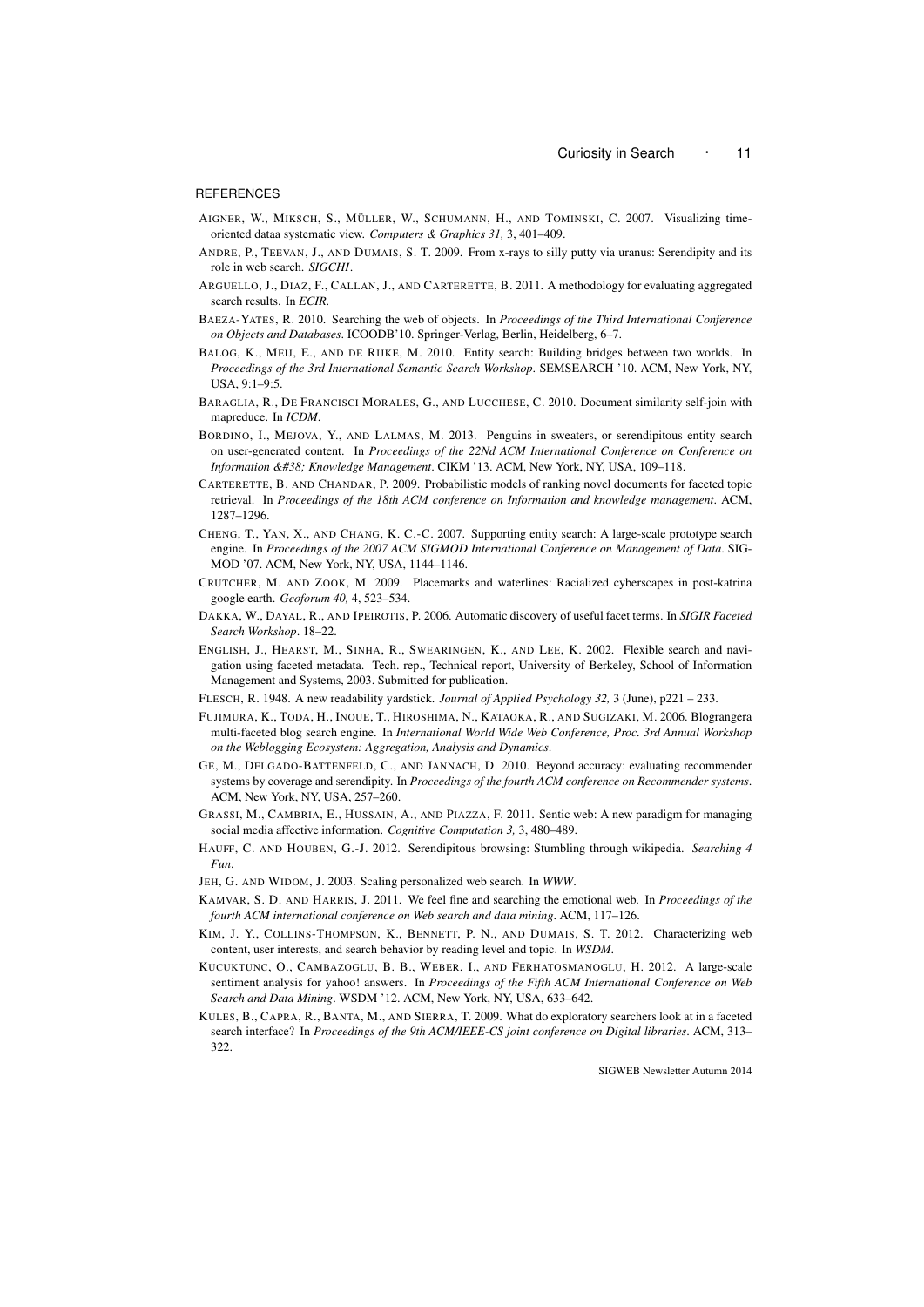## **REFERENCES**

- AIGNER, W., MIKSCH, S., MÜLLER, W., SCHUMANN, H., AND TOMINSKI, C. 2007. Visualizing timeoriented dataa systematic view. *Computers & Graphics 31,* 3, 401–409.
- ANDRE, P., TEEVAN, J., AND DUMAIS, S. T. 2009. From x-rays to silly putty via uranus: Serendipity and its role in web search. *SIGCHI*.
- ARGUELLO, J., DIAZ, F., CALLAN, J., AND CARTERETTE, B. 2011. A methodology for evaluating aggregated search results. In *ECIR*.
- BAEZA-YATES, R. 2010. Searching the web of objects. In *Proceedings of the Third International Conference on Objects and Databases*. ICOODB'10. Springer-Verlag, Berlin, Heidelberg, 6–7.
- BALOG, K., MEIJ, E., AND DE RIJKE, M. 2010. Entity search: Building bridges between two worlds. In *Proceedings of the 3rd International Semantic Search Workshop*. SEMSEARCH '10. ACM, New York, NY, USA, 9:1–9:5.
- BARAGLIA, R., DE FRANCISCI MORALES, G., AND LUCCHESE, C. 2010. Document similarity self-join with mapreduce. In *ICDM*.
- BORDINO, I., MEJOVA, Y., AND LALMAS, M. 2013. Penguins in sweaters, or serendipitous entity search on user-generated content. In *Proceedings of the 22Nd ACM International Conference on Conference on Information & Knowledge Management*. CIKM '13. ACM, New York, NY, USA, 109–118.
- CARTERETTE, B. AND CHANDAR, P. 2009. Probabilistic models of ranking novel documents for faceted topic retrieval. In *Proceedings of the 18th ACM conference on Information and knowledge management*. ACM, 1287–1296.
- CHENG, T., YAN, X., AND CHANG, K. C.-C. 2007. Supporting entity search: A large-scale prototype search engine. In *Proceedings of the 2007 ACM SIGMOD International Conference on Management of Data*. SIG-MOD '07. ACM, New York, NY, USA, 1144–1146.
- CRUTCHER, M. AND ZOOK, M. 2009. Placemarks and waterlines: Racialized cyberscapes in post-katrina google earth. *Geoforum 40,* 4, 523–534.
- DAKKA, W., DAYAL, R., AND IPEIROTIS, P. 2006. Automatic discovery of useful facet terms. In *SIGIR Faceted Search Workshop*. 18–22.
- ENGLISH, J., HEARST, M., SINHA, R., SWEARINGEN, K., AND LEE, K. 2002. Flexible search and navigation using faceted metadata. Tech. rep., Technical report, University of Berkeley, School of Information Management and Systems, 2003. Submitted for publication.
- FLESCH, R. 1948. A new readability yardstick. *Journal of Applied Psychology 32,* 3 (June), p221 233.
- FUJIMURA, K., TODA, H., INOUE, T., HIROSHIMA, N., KATAOKA, R., AND SUGIZAKI, M. 2006. Blograngera multi-faceted blog search engine. In *International World Wide Web Conference, Proc. 3rd Annual Workshop on the Weblogging Ecosystem: Aggregation, Analysis and Dynamics*.
- GE, M., DELGADO-BATTENFELD, C., AND JANNACH, D. 2010. Beyond accuracy: evaluating recommender systems by coverage and serendipity. In *Proceedings of the fourth ACM conference on Recommender systems*. ACM, New York, NY, USA, 257–260.
- GRASSI, M., CAMBRIA, E., HUSSAIN, A., AND PIAZZA, F. 2011. Sentic web: A new paradigm for managing social media affective information. *Cognitive Computation 3,* 3, 480–489.
- HAUFF, C. AND HOUBEN, G.-J. 2012. Serendipitous browsing: Stumbling through wikipedia. *Searching 4 Fun*.
- JEH, G. AND WIDOM, J. 2003. Scaling personalized web search. In *WWW*.
- KAMVAR, S. D. AND HARRIS, J. 2011. We feel fine and searching the emotional web. In *Proceedings of the fourth ACM international conference on Web search and data mining*. ACM, 117–126.
- KIM, J. Y., COLLINS-THOMPSON, K., BENNETT, P. N., AND DUMAIS, S. T. 2012. Characterizing web content, user interests, and search behavior by reading level and topic. In *WSDM*.
- KUCUKTUNC, O., CAMBAZOGLU, B. B., WEBER, I., AND FERHATOSMANOGLU, H. 2012. A large-scale sentiment analysis for yahoo! answers. In *Proceedings of the Fifth ACM International Conference on Web Search and Data Mining*. WSDM '12. ACM, New York, NY, USA, 633–642.
- KULES, B., CAPRA, R., BANTA, M., AND SIERRA, T. 2009. What do exploratory searchers look at in a faceted search interface? In *Proceedings of the 9th ACM/IEEE-CS joint conference on Digital libraries*. ACM, 313– 322.